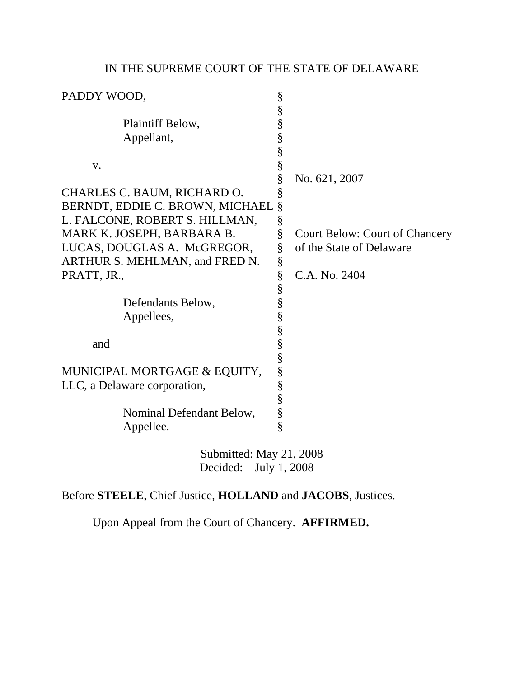## IN THE SUPREME COURT OF THE STATE OF DELAWARE

| PADDY WOOD,                     | $\S$          |                                       |
|---------------------------------|---------------|---------------------------------------|
|                                 | §             |                                       |
| Plaintiff Below,                | §             |                                       |
| Appellant,                      |               |                                       |
|                                 | $\frac{8}{8}$ |                                       |
| V.                              |               |                                       |
|                                 | §             | No. 621, 2007                         |
| CHARLES C. BAUM, RICHARD O.     | §             |                                       |
| BERNDT, EDDIE C. BROWN, MICHAEL | §             |                                       |
| L. FALCONE, ROBERT S. HILLMAN,  | $\S$          |                                       |
| MARK K. JOSEPH, BARBARA B.      | §             | <b>Court Below: Court of Chancery</b> |
| LUCAS, DOUGLAS A. McGREGOR,     | §             | of the State of Delaware              |
| ARTHUR S. MEHLMAN, and FRED N.  | $\S$          |                                       |
| PRATT, JR.,                     | $\S$          | C.A. No. 2404                         |
|                                 | §             |                                       |
| Defendants Below,               | §             |                                       |
| Appellees,                      | $\S$          |                                       |
|                                 |               |                                       |
| and                             | S<br>S<br>S   |                                       |
|                                 |               |                                       |
| MUNICIPAL MORTGAGE & EQUITY,    | §             |                                       |
| LLC, a Delaware corporation,    |               |                                       |
|                                 | $\frac{8}{8}$ |                                       |
| Nominal Defendant Below,        | $\S$          |                                       |
| Appellee.                       | $\hat{\S}$    |                                       |
| Submitted: May 21, 2008         |               |                                       |

Decided: July 1, 2008

Before **STEELE**, Chief Justice, **HOLLAND** and **JACOBS**, Justices.

Upon Appeal from the Court of Chancery. **AFFIRMED.**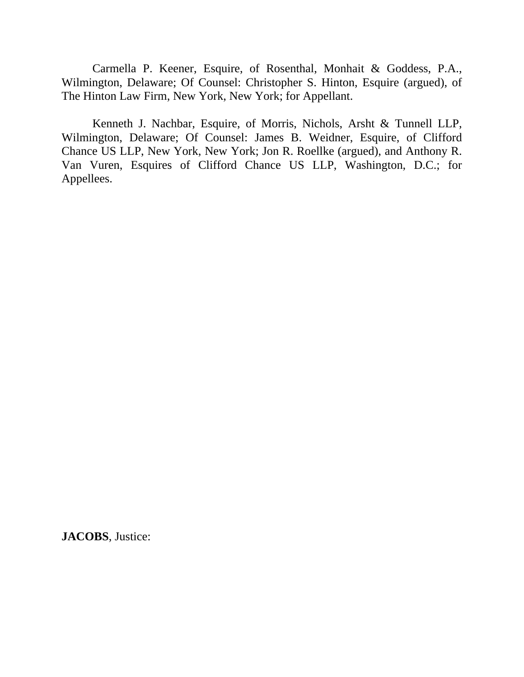Carmella P. Keener, Esquire, of Rosenthal, Monhait & Goddess, P.A., Wilmington, Delaware; Of Counsel: Christopher S. Hinton, Esquire (argued), of The Hinton Law Firm, New York, New York; for Appellant.

 Kenneth J. Nachbar, Esquire, of Morris, Nichols, Arsht & Tunnell LLP, Wilmington, Delaware; Of Counsel: James B. Weidner, Esquire, of Clifford Chance US LLP, New York, New York; Jon R. Roellke (argued), and Anthony R. Van Vuren, Esquires of Clifford Chance US LLP, Washington, D.C.; for Appellees.

**JACOBS**, Justice: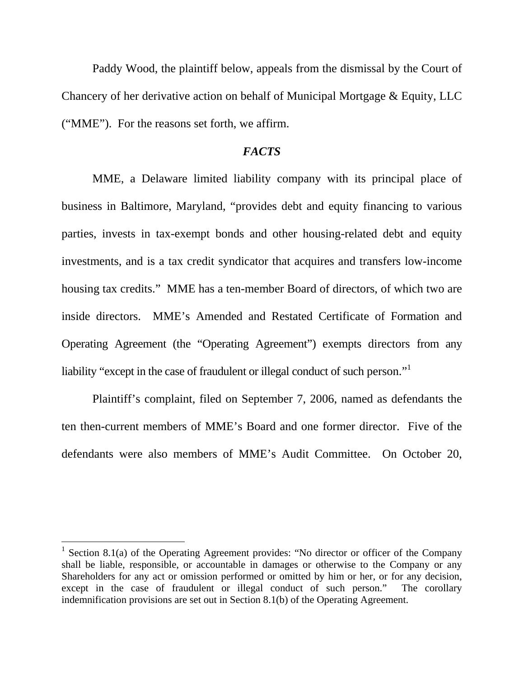Paddy Wood, the plaintiff below, appeals from the dismissal by the Court of Chancery of her derivative action on behalf of Municipal Mortgage & Equity, LLC ("MME"). For the reasons set forth, we affirm.

## *FACTS*

 MME, a Delaware limited liability company with its principal place of business in Baltimore, Maryland, "provides debt and equity financing to various parties, invests in tax-exempt bonds and other housing-related debt and equity investments, and is a tax credit syndicator that acquires and transfers low-income housing tax credits." MME has a ten-member Board of directors, of which two are inside directors. MME's Amended and Restated Certificate of Formation and Operating Agreement (the "Operating Agreement") exempts directors from any liability "except in the case of fraudulent or illegal conduct of such person."<sup>1</sup>

 Plaintiff's complaint, filed on September 7, 2006, named as defendants the ten then-current members of MME's Board and one former director. Five of the defendants were also members of MME's Audit Committee. On October 20,

<sup>&</sup>lt;sup>1</sup> Section 8.1(a) of the Operating Agreement provides: "No director or officer of the Company shall be liable, responsible, or accountable in damages or otherwise to the Company or any Shareholders for any act or omission performed or omitted by him or her, or for any decision, except in the case of fraudulent or illegal conduct of such person." The corollary indemnification provisions are set out in Section 8.1(b) of the Operating Agreement.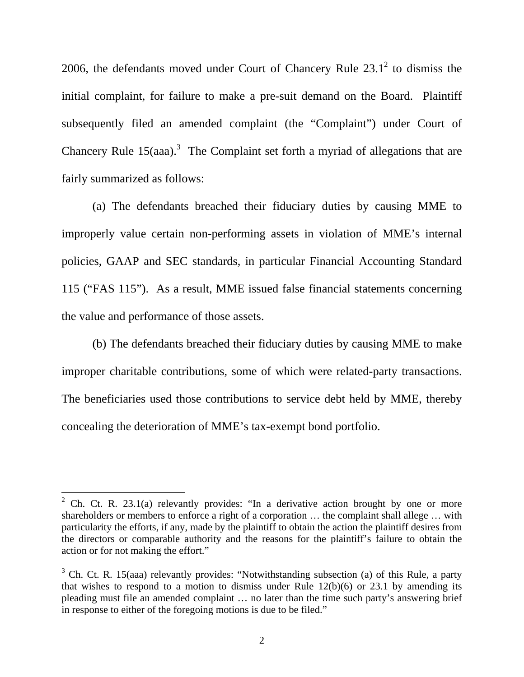2006, the defendants moved under Court of Chancery Rule  $23.1^2$  to dismiss the initial complaint, for failure to make a pre-suit demand on the Board. Plaintiff subsequently filed an amended complaint (the "Complaint") under Court of Chancery Rule  $15(aaa)$ .<sup>3</sup> The Complaint set forth a myriad of allegations that are fairly summarized as follows:

 (a) The defendants breached their fiduciary duties by causing MME to improperly value certain non-performing assets in violation of MME's internal policies, GAAP and SEC standards, in particular Financial Accounting Standard 115 ("FAS 115"). As a result, MME issued false financial statements concerning the value and performance of those assets.

 (b) The defendants breached their fiduciary duties by causing MME to make improper charitable contributions, some of which were related-party transactions. The beneficiaries used those contributions to service debt held by MME, thereby concealing the deterioration of MME's tax-exempt bond portfolio.

<sup>&</sup>lt;sup>2</sup> Ch. Ct. R. 23.1(a) relevantly provides: "In a derivative action brought by one or more shareholders or members to enforce a right of a corporation … the complaint shall allege … with particularity the efforts, if any, made by the plaintiff to obtain the action the plaintiff desires from the directors or comparable authority and the reasons for the plaintiff's failure to obtain the action or for not making the effort."

 $3$  Ch. Ct. R. 15(aaa) relevantly provides: "Notwithstanding subsection (a) of this Rule, a party that wishes to respond to a motion to dismiss under Rule  $12(b)(6)$  or 23.1 by amending its pleading must file an amended complaint … no later than the time such party's answering brief in response to either of the foregoing motions is due to be filed."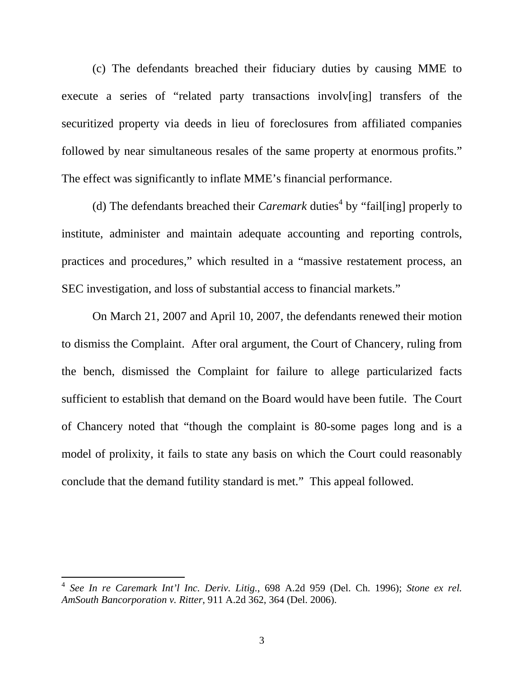(c) The defendants breached their fiduciary duties by causing MME to execute a series of "related party transactions involv[ing] transfers of the securitized property via deeds in lieu of foreclosures from affiliated companies followed by near simultaneous resales of the same property at enormous profits." The effect was significantly to inflate MME's financial performance.

(d) The defendants breached their *Caremark* duties<sup>4</sup> by "fail [ing] properly to institute, administer and maintain adequate accounting and reporting controls, practices and procedures," which resulted in a "massive restatement process, an SEC investigation, and loss of substantial access to financial markets."

 On March 21, 2007 and April 10, 2007, the defendants renewed their motion to dismiss the Complaint. After oral argument, the Court of Chancery, ruling from the bench, dismissed the Complaint for failure to allege particularized facts sufficient to establish that demand on the Board would have been futile. The Court of Chancery noted that "though the complaint is 80-some pages long and is a model of prolixity, it fails to state any basis on which the Court could reasonably conclude that the demand futility standard is met." This appeal followed.

<sup>4</sup> *See In re Caremark Int'l Inc. Deriv. Litig.*, 698 A.2d 959 (Del. Ch. 1996); *Stone ex rel. AmSouth Bancorporation v. Ritter*, 911 A.2d 362, 364 (Del. 2006).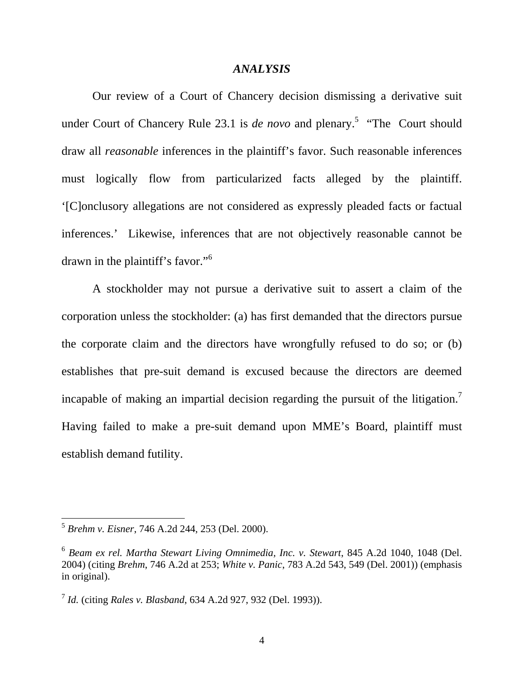## *ANALYSIS*

 Our review of a Court of Chancery decision dismissing a derivative suit under Court of Chancery Rule 23.1 is *de novo* and plenary.<sup>5</sup> "The Court should draw all *reasonable* inferences in the plaintiff's favor. Such reasonable inferences must logically flow from particularized facts alleged by the plaintiff. '[C]onclusory allegations are not considered as expressly pleaded facts or factual inferences.' Likewise, inferences that are not objectively reasonable cannot be drawn in the plaintiff's favor."<sup>6</sup>

 A stockholder may not pursue a derivative suit to assert a claim of the corporation unless the stockholder: (a) has first demanded that the directors pursue the corporate claim and the directors have wrongfully refused to do so; or (b) establishes that pre-suit demand is excused because the directors are deemed incapable of making an impartial decision regarding the pursuit of the litigation.<sup>7</sup> Having failed to make a pre-suit demand upon MME's Board, plaintiff must establish demand futility.

<sup>5</sup> *Brehm v. Eisner*, 746 A.2d 244, 253 (Del. 2000).

<sup>6</sup> *Beam ex rel. Martha Stewart Living Omnimedia, Inc. v. Stewart*, 845 A.2d 1040, 1048 (Del. 2004) (citing *Brehm*, 746 A.2d at 253; *White v. Panic*, 783 A.2d 543, 549 (Del. 2001)) (emphasis in original).

<sup>7</sup> *Id.* (citing *Rales v. Blasband*, 634 A.2d 927, 932 (Del. 1993)).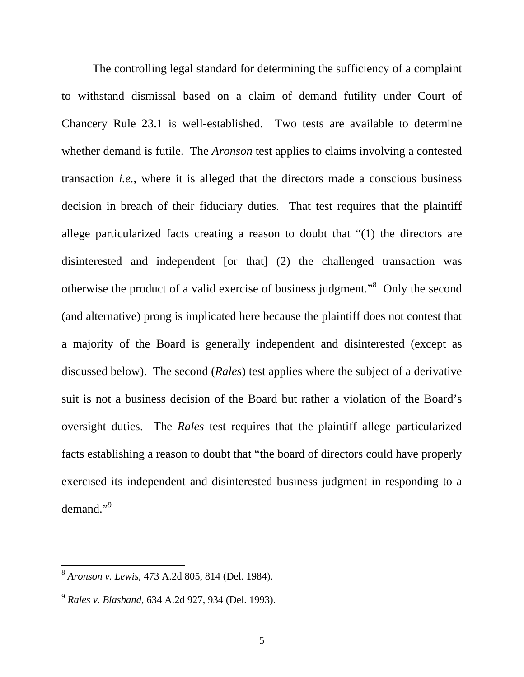The controlling legal standard for determining the sufficiency of a complaint to withstand dismissal based on a claim of demand futility under Court of Chancery Rule 23.1 is well-established. Two tests are available to determine whether demand is futile. The *Aronson* test applies to claims involving a contested transaction *i.e.*, where it is alleged that the directors made a conscious business decision in breach of their fiduciary duties. That test requires that the plaintiff allege particularized facts creating a reason to doubt that "(1) the directors are disinterested and independent [or that] (2) the challenged transaction was otherwise the product of a valid exercise of business judgment."<sup>8</sup> Only the second (and alternative) prong is implicated here because the plaintiff does not contest that a majority of the Board is generally independent and disinterested (except as discussed below). The second (*Rales*) test applies where the subject of a derivative suit is not a business decision of the Board but rather a violation of the Board's oversight duties. The *Rales* test requires that the plaintiff allege particularized facts establishing a reason to doubt that "the board of directors could have properly exercised its independent and disinterested business judgment in responding to a demand."<sup>9</sup>

<sup>8</sup> *Aronson v. Lewis*, 473 A.2d 805, 814 (Del. 1984).

<sup>9</sup> *Rales v. Blasband*, 634 A.2d 927, 934 (Del. 1993).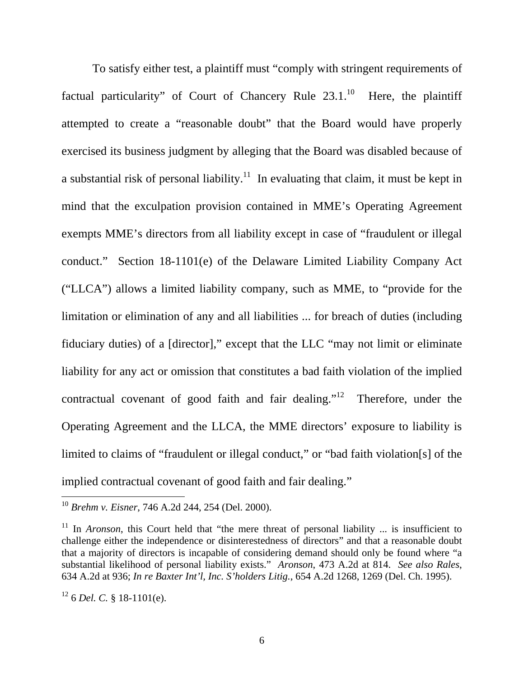To satisfy either test, a plaintiff must "comply with stringent requirements of factual particularity" of Court of Chancery Rule  $23.1^{10}$  Here, the plaintiff attempted to create a "reasonable doubt" that the Board would have properly exercised its business judgment by alleging that the Board was disabled because of a substantial risk of personal liability.<sup>11</sup> In evaluating that claim, it must be kept in mind that the exculpation provision contained in MME's Operating Agreement exempts MME's directors from all liability except in case of "fraudulent or illegal conduct." Section 18-1101(e) of the Delaware Limited Liability Company Act ("LLCA") allows a limited liability company, such as MME, to "provide for the limitation or elimination of any and all liabilities ... for breach of duties (including fiduciary duties) of a [director]," except that the LLC "may not limit or eliminate liability for any act or omission that constitutes a bad faith violation of the implied contractual covenant of good faith and fair dealing."<sup>12</sup> Therefore, under the Operating Agreement and the LLCA, the MME directors' exposure to liability is limited to claims of "fraudulent or illegal conduct," or "bad faith violation[s] of the implied contractual covenant of good faith and fair dealing."

<sup>10</sup> *Brehm v. Eisner*, 746 A.2d 244, 254 (Del. 2000).

<sup>&</sup>lt;sup>11</sup> In *Aronson*, this Court held that "the mere threat of personal liability ... is insufficient to challenge either the independence or disinterestedness of directors" and that a reasonable doubt that a majority of directors is incapable of considering demand should only be found where "a substantial likelihood of personal liability exists." *Aronson*, 473 A.2d at 814. *See also Rales*, 634 A.2d at 936; *In re Baxter Int'l, Inc. S'holders Litig.*, 654 A.2d 1268, 1269 (Del. Ch. 1995).

 $12$  6 *Del. C.* § 18-1101(e).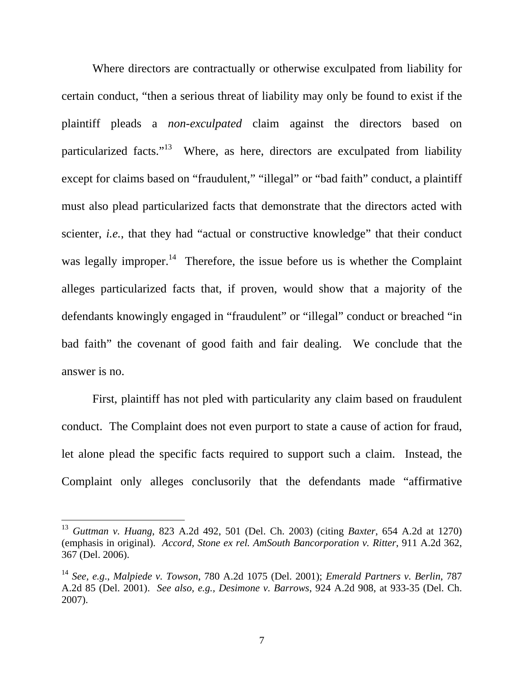Where directors are contractually or otherwise exculpated from liability for certain conduct, "then a serious threat of liability may only be found to exist if the plaintiff pleads a *non-exculpated* claim against the directors based on particularized facts."<sup>13</sup> Where, as here, directors are exculpated from liability except for claims based on "fraudulent," "illegal" or "bad faith" conduct, a plaintiff must also plead particularized facts that demonstrate that the directors acted with scienter, *i.e.*, that they had "actual or constructive knowledge" that their conduct was legally improper.<sup>14</sup> Therefore, the issue before us is whether the Complaint alleges particularized facts that, if proven, would show that a majority of the defendants knowingly engaged in "fraudulent" or "illegal" conduct or breached "in bad faith" the covenant of good faith and fair dealing. We conclude that the answer is no.

 First, plaintiff has not pled with particularity any claim based on fraudulent conduct. The Complaint does not even purport to state a cause of action for fraud, let alone plead the specific facts required to support such a claim. Instead, the Complaint only alleges conclusorily that the defendants made "affirmative

<sup>13</sup> *Guttman v. Huang*, 823 A.2d 492, 501 (Del. Ch. 2003) (citing *Baxter*, 654 A.2d at 1270) (emphasis in original). *Accord, Stone ex rel. AmSouth Bancorporation v. Ritter*, 911 A.2d 362, 367 (Del. 2006).

<sup>14</sup> *See, e.g*., *Malpiede v. Towson*, 780 A.2d 1075 (Del. 2001); *Emerald Partners v. Berlin*, 787 A.2d 85 (Del. 2001). *See also, e.g., Desimone v. Barrows*, 924 A.2d 908, at 933-35 (Del. Ch. 2007).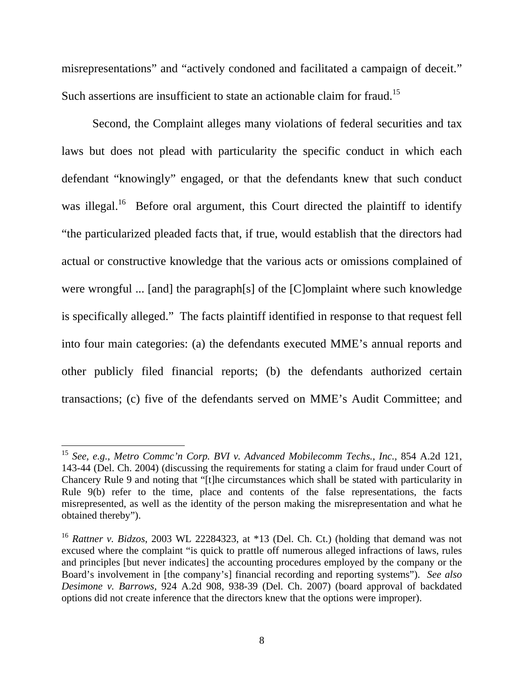misrepresentations" and "actively condoned and facilitated a campaign of deceit." Such assertions are insufficient to state an actionable claim for fraud.<sup>15</sup>

 Second, the Complaint alleges many violations of federal securities and tax laws but does not plead with particularity the specific conduct in which each defendant "knowingly" engaged, or that the defendants knew that such conduct was illegal.<sup>16</sup> Before oral argument, this Court directed the plaintiff to identify "the particularized pleaded facts that, if true, would establish that the directors had actual or constructive knowledge that the various acts or omissions complained of were wrongful ... [and] the paragraph[s] of the [C]omplaint where such knowledge is specifically alleged." The facts plaintiff identified in response to that request fell into four main categories: (a) the defendants executed MME's annual reports and other publicly filed financial reports; (b) the defendants authorized certain transactions; (c) five of the defendants served on MME's Audit Committee; and

<sup>15</sup> *See, e.g., Metro Commc'n Corp. BVI v. Advanced Mobilecomm Techs., Inc.,* 854 A.2d 121, 143-44 (Del. Ch. 2004) (discussing the requirements for stating a claim for fraud under Court of Chancery Rule 9 and noting that "[t]he circumstances which shall be stated with particularity in Rule 9(b) refer to the time, place and contents of the false representations, the facts misrepresented, as well as the identity of the person making the misrepresentation and what he obtained thereby").

<sup>16</sup> *Rattner v. Bidzos*, 2003 WL 22284323, at \*13 (Del. Ch. Ct.) (holding that demand was not excused where the complaint "is quick to prattle off numerous alleged infractions of laws, rules and principles [but never indicates] the accounting procedures employed by the company or the Board's involvement in [the company's] financial recording and reporting systems"). *See also Desimone v. Barrows*, 924 A.2d 908, 938-39 (Del. Ch. 2007) (board approval of backdated options did not create inference that the directors knew that the options were improper).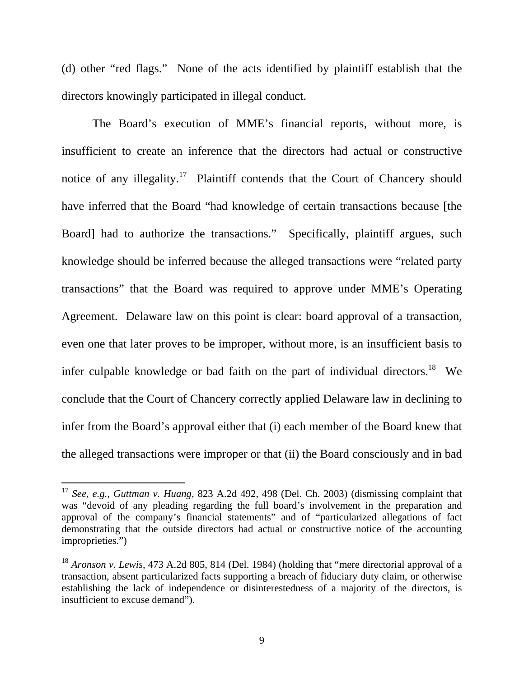(d) other "red flags." None of the acts identified by plaintiff establish that the directors knowingly participated in illegal conduct.

 The Board's execution of MME's financial reports, without more, is insufficient to create an inference that the directors had actual or constructive notice of any illegality.<sup>17</sup> Plaintiff contends that the Court of Chancery should have inferred that the Board "had knowledge of certain transactions because [the Board] had to authorize the transactions." Specifically, plaintiff argues, such knowledge should be inferred because the alleged transactions were "related party transactions" that the Board was required to approve under MME's Operating Agreement. Delaware law on this point is clear: board approval of a transaction, even one that later proves to be improper, without more, is an insufficient basis to infer culpable knowledge or bad faith on the part of individual directors.<sup>18</sup> We conclude that the Court of Chancery correctly applied Delaware law in declining to infer from the Board's approval either that (i) each member of the Board knew that the alleged transactions were improper or that (ii) the Board consciously and in bad

<sup>17</sup> *See, e.g., Guttman v. Huang*, 823 A.2d 492, 498 (Del. Ch. 2003) (dismissing complaint that was "devoid of any pleading regarding the full board's involvement in the preparation and approval of the company's financial statements" and of "particularized allegations of fact demonstrating that the outside directors had actual or constructive notice of the accounting improprieties.")

<sup>18</sup> *Aronson v. Lewis*, 473 A.2d 805, 814 (Del. 1984) (holding that "mere directorial approval of a transaction, absent particularized facts supporting a breach of fiduciary duty claim, or otherwise establishing the lack of independence or disinterestedness of a majority of the directors, is insufficient to excuse demand").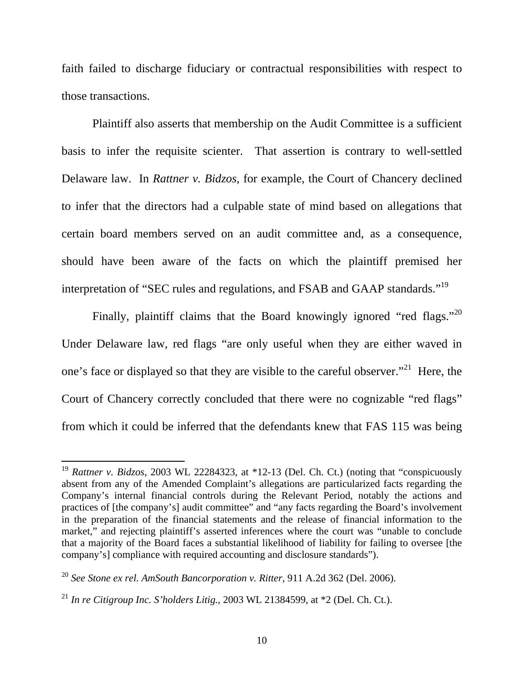faith failed to discharge fiduciary or contractual responsibilities with respect to those transactions.

 Plaintiff also asserts that membership on the Audit Committee is a sufficient basis to infer the requisite scienter. That assertion is contrary to well-settled Delaware law. In *Rattner v. Bidzos*, for example, the Court of Chancery declined to infer that the directors had a culpable state of mind based on allegations that certain board members served on an audit committee and, as a consequence, should have been aware of the facts on which the plaintiff premised her interpretation of "SEC rules and regulations, and FSAB and GAAP standards."<sup>19</sup>

Finally, plaintiff claims that the Board knowingly ignored "red flags."<sup>20</sup> Under Delaware law, red flags "are only useful when they are either waved in one's face or displayed so that they are visible to the careful observer."<sup>21</sup> Here, the Court of Chancery correctly concluded that there were no cognizable "red flags" from which it could be inferred that the defendants knew that FAS 115 was being

<sup>19</sup> *Rattner v. Bidzos*, 2003 WL 22284323, at \*12-13 (Del. Ch. Ct.) (noting that "conspicuously absent from any of the Amended Complaint's allegations are particularized facts regarding the Company's internal financial controls during the Relevant Period, notably the actions and practices of [the company's] audit committee" and "any facts regarding the Board's involvement in the preparation of the financial statements and the release of financial information to the market," and rejecting plaintiff's asserted inferences where the court was "unable to conclude that a majority of the Board faces a substantial likelihood of liability for failing to oversee [the company's] compliance with required accounting and disclosure standards").

<sup>20</sup> *See Stone ex rel. AmSouth Bancorporation v. Ritter*, 911 A.2d 362 (Del. 2006).

<sup>&</sup>lt;sup>21</sup> *In re Citigroup Inc. S'holders Litig.*, 2003 WL 21384599, at  $*2$  (Del. Ch. Ct.).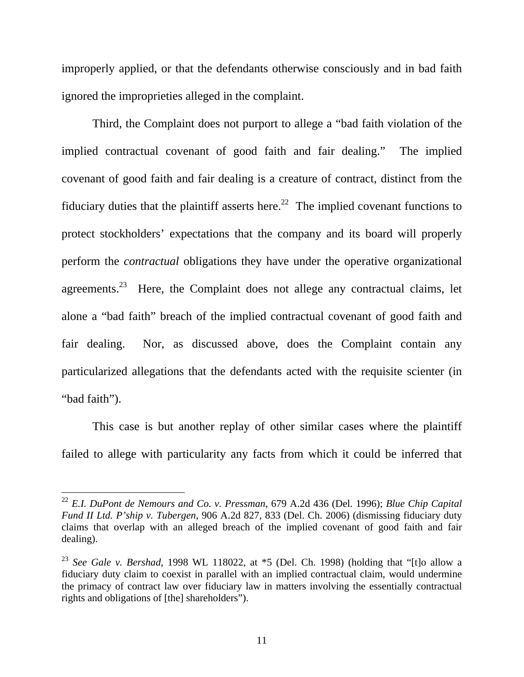improperly applied, or that the defendants otherwise consciously and in bad faith ignored the improprieties alleged in the complaint.

 Third, the Complaint does not purport to allege a "bad faith violation of the implied contractual covenant of good faith and fair dealing." The implied covenant of good faith and fair dealing is a creature of contract, distinct from the fiduciary duties that the plaintiff asserts here.<sup>22</sup> The implied covenant functions to protect stockholders' expectations that the company and its board will properly perform the *contractual* obligations they have under the operative organizational agreements.<sup>23</sup> Here, the Complaint does not allege any contractual claims, let alone a "bad faith" breach of the implied contractual covenant of good faith and fair dealing. Nor, as discussed above, does the Complaint contain any particularized allegations that the defendants acted with the requisite scienter (in "bad faith").

 This case is but another replay of other similar cases where the plaintiff failed to allege with particularity any facts from which it could be inferred that

<sup>22</sup> *E.I. DuPont de Nemours and Co. v. Pressman*, 679 A.2d 436 (Del. 1996); *Blue Chip Capital Fund II Ltd. P'ship v. Tubergen*, 906 A.2d 827, 833 (Del. Ch. 2006) (dismissing fiduciary duty claims that overlap with an alleged breach of the implied covenant of good faith and fair dealing).

<sup>23</sup> *See Gale v. Bershad*, 1998 WL 118022, at \*5 (Del. Ch. 1998) (holding that "[t]o allow a fiduciary duty claim to coexist in parallel with an implied contractual claim, would undermine the primacy of contract law over fiduciary law in matters involving the essentially contractual rights and obligations of [the] shareholders").